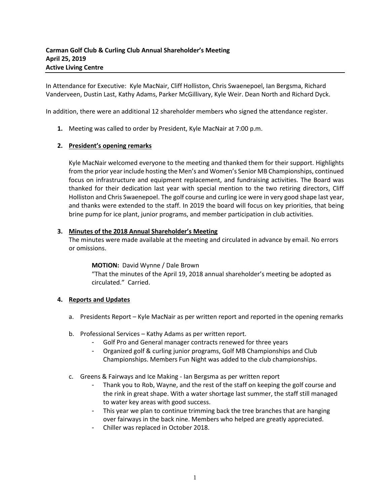In Attendance for Executive: Kyle MacNair, Cliff Holliston, Chris Swaenepoel, Ian Bergsma, Richard Vanderveen, Dustin Last, Kathy Adams, Parker McGillivary, Kyle Weir. Dean North and Richard Dyck.

In addition, there were an additional 12 shareholder members who signed the attendance register.

**1.** Meeting was called to order by President, Kyle MacNair at 7:00 p.m.

# **2. President's opening remarks**

Kyle MacNair welcomed everyone to the meeting and thanked them for their support. Highlights from the prior year include hosting the Men's and Women's Senior MB Championships, continued focus on infrastructure and equipment replacement, and fundraising activities. The Board was thanked for their dedication last year with special mention to the two retiring directors, Cliff Holliston and Chris Swaenepoel. The golf course and curling ice were in very good shape last year, and thanks were extended to the staff. In 2019 the board will focus on key priorities, that being brine pump for ice plant, junior programs, and member participation in club activities.

#### **3. Minutes of the 2018 Annual Shareholder's Meeting**

The minutes were made available at the meeting and circulated in advance by email. No errors or omissions.

#### **MOTION:** David Wynne / Dale Brown

"That the minutes of the April 19, 2018 annual shareholder's meeting be adopted as circulated." Carried.

#### **4. Reports and Updates**

- a. Presidents Report Kyle MacNair as per written report and reported in the opening remarks
- b. Professional Services Kathy Adams as per written report.
	- Golf Pro and General manager contracts renewed for three years
	- Organized golf & curling junior programs, Golf MB Championships and Club Championships. Members Fun Night was added to the club championships.
- c. Greens & Fairways and Ice Making Ian Bergsma as per written report
	- Thank you to Rob, Wayne, and the rest of the staff on keeping the golf course and the rink in great shape. With a water shortage last summer, the staff still managed to water key areas with good success.
	- This year we plan to continue trimming back the tree branches that are hanging over fairways in the back nine. Members who helped are greatly appreciated.
	- Chiller was replaced in October 2018.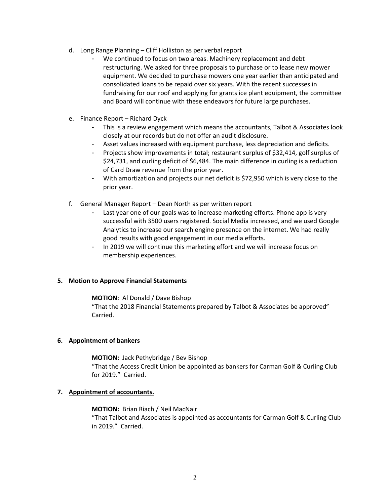- d. Long Range Planning Cliff Holliston as per verbal report
	- We continued to focus on two areas. Machinery replacement and debt restructuring. We asked for three proposals to purchase or to lease new mower equipment. We decided to purchase mowers one year earlier than anticipated and consolidated loans to be repaid over six years. With the recent successes in fundraising for our roof and applying for grants ice plant equipment, the committee and Board will continue with these endeavors for future large purchases.
- e. Finance Report Richard Dyck
	- This is a review engagement which means the accountants, Talbot & Associates look closely at our records but do not offer an audit disclosure.
	- Asset values increased with equipment purchase, less depreciation and deficits.
	- Projects show improvements in total; restaurant surplus of \$32,414, golf surplus of \$24,731, and curling deficit of \$6,484. The main difference in curling is a reduction of Card Draw revenue from the prior year.
	- With amortization and projects our net deficit is \$72,950 which is very close to the prior year.
- f. General Manager Report Dean North as per written report
	- Last year one of our goals was to increase marketing efforts. Phone app is very successful with 3500 users registered. Social Media increased, and we used Google Analytics to increase our search engine presence on the internet. We had really good results with good engagement in our media efforts.
	- In 2019 we will continue this marketing effort and we will increase focus on membership experiences.

# **5. Motion to Approve Financial Statements**

# **MOTION**: Al Donald / Dave Bishop

"That the 2018 Financial Statements prepared by Talbot & Associates be approved" Carried.

# **6. Appointment of bankers**

# **MOTION:** Jack Pethybridge / Bev Bishop

"That the Access Credit Union be appointed as bankers for Carman Golf & Curling Club for 2019." Carried.

# **7. Appointment of accountants.**

# **MOTION:** Brian Riach / Neil MacNair

"That Talbot and Associates is appointed as accountants for Carman Golf & Curling Club in 2019." Carried.